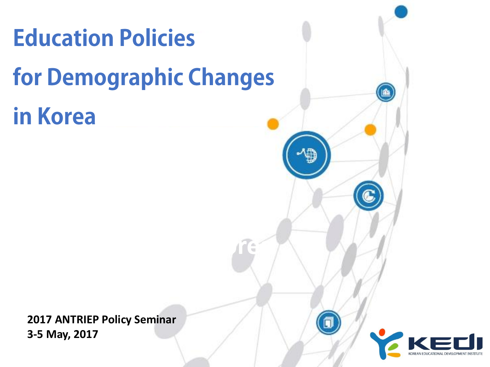# **Education Policies** for Demographic Changes in Korea

**2017 ANTRIEP Policy Seminar 3-5 May, 2017** 

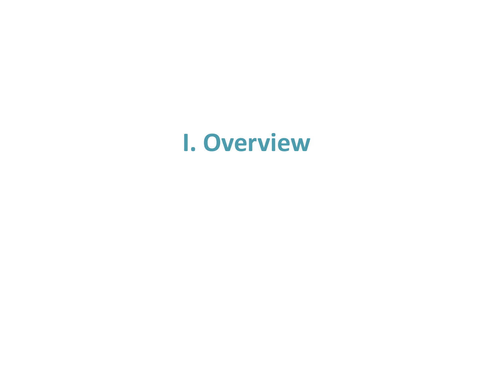## **I. Overview**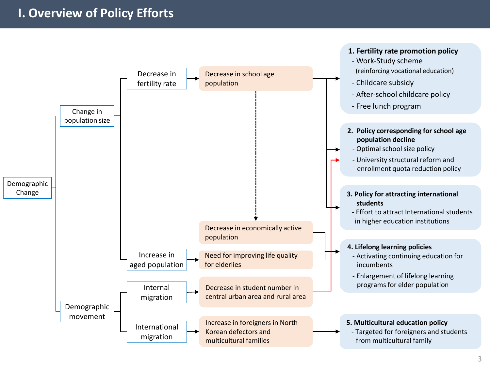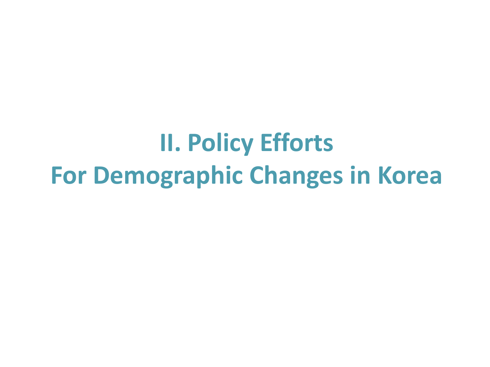# **II. Policy Efforts For Demographic Changes in Korea**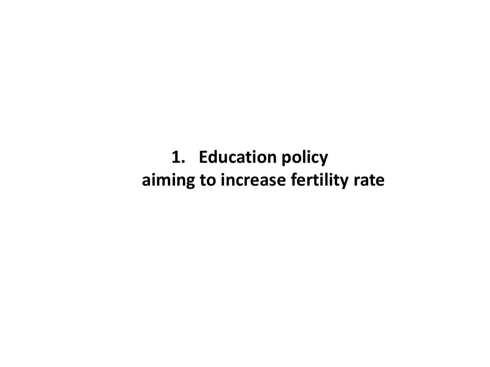**1. Education policy aiming to increase fertility rate**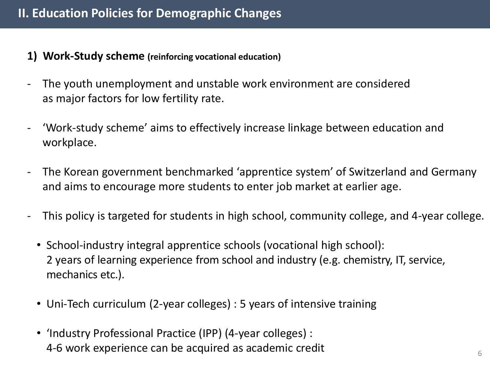- **1) Work-Study scheme (reinforcing vocational education)**
- The youth unemployment and unstable work environment are considered as major factors for low fertility rate.
- 'Work-study scheme' aims to effectively increase linkage between education and workplace.
- The Korean government benchmarked 'apprentice system' of Switzerland and Germany and aims to encourage more students to enter job market at earlier age.
- This policy is targeted for students in high school, community college, and 4-year college.
	- School-industry integral apprentice schools (vocational high school): 2 years of learning experience from school and industry (e.g. chemistry, IT, service, mechanics etc.).
	- Uni-Tech curriculum (2-year colleges) : 5 years of intensive training
	- 'Industry Professional Practice (IPP) (4-year colleges) : 4-6 work experience can be acquired as academic credit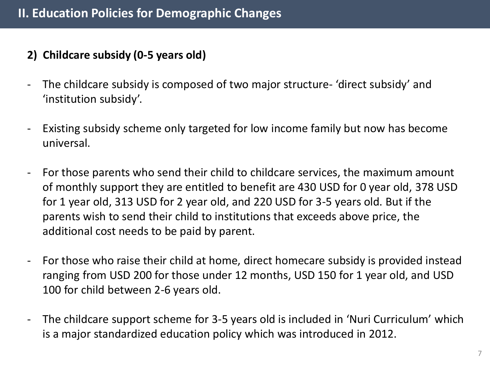- **2) Childcare subsidy (0-5 years old)**
- The childcare subsidy is composed of two major structure- 'direct subsidy' and 'institution subsidy'.
- Existing subsidy scheme only targeted for low income family but now has become universal.
- For those parents who send their child to childcare services, the maximum amount of monthly support they are entitled to benefit are 430 USD for 0 year old, 378 USD for 1 year old, 313 USD for 2 year old, and 220 USD for 3-5 years old. But if the parents wish to send their child to institutions that exceeds above price, the additional cost needs to be paid by parent.
- For those who raise their child at home, direct homecare subsidy is provided instead ranging from USD 200 for those under 12 months, USD 150 for 1 year old, and USD 100 for child between 2-6 years old.
- The childcare support scheme for 3-5 years old is included in 'Nuri Curriculum' which is a major standardized education policy which was introduced in 2012.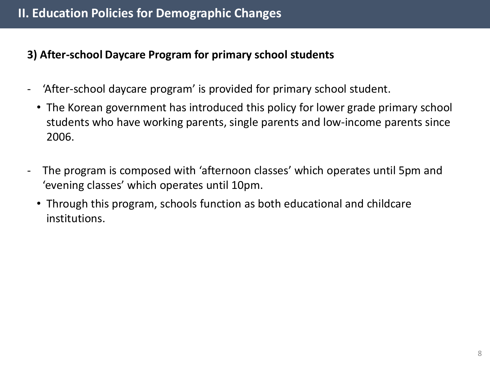#### **3) After-school Daycare Program for primary school students**

- 'After-school daycare program' is provided for primary school student.
	- The Korean government has introduced this policy for lower grade primary school students who have working parents, single parents and low-income parents since 2006.
- The program is composed with 'afternoon classes' which operates until 5pm and 'evening classes' which operates until 10pm.
	- Through this program, schools function as both educational and childcare institutions.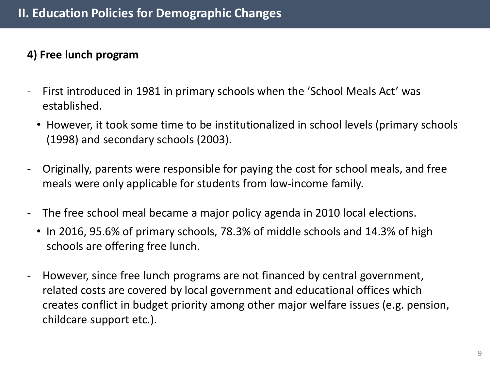#### **4) Free lunch program**

- First introduced in 1981 in primary schools when the 'School Meals Act' was established.
	- However, it took some time to be institutionalized in school levels (primary schools (1998) and secondary schools (2003).
- Originally, parents were responsible for paying the cost for school meals, and free meals were only applicable for students from low-income family.
- The free school meal became a major policy agenda in 2010 local elections.
	- In 2016, 95.6% of primary schools, 78.3% of middle schools and 14.3% of high schools are offering free lunch.
- However, since free lunch programs are not financed by central government, related costs are covered by local government and educational offices which creates conflict in budget priority among other major welfare issues (e.g. pension, childcare support etc.).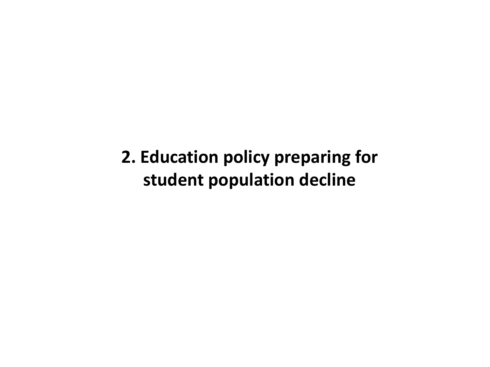**2. Education policy preparing for student population decline**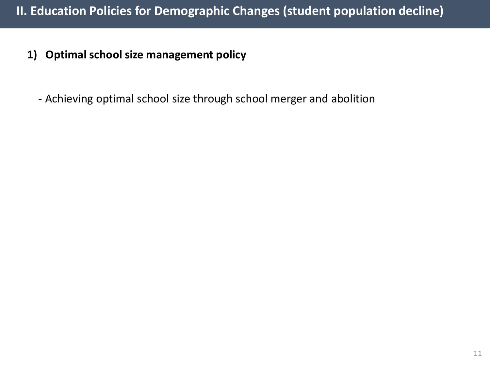- **1) Optimal school size management policy**
	- Achieving optimal school size through school merger and abolition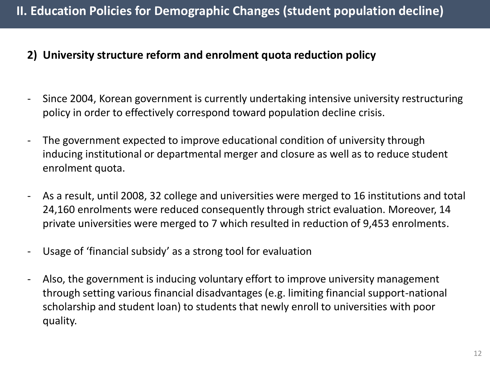#### **2) University structure reform and enrolment quota reduction policy**

- Since 2004, Korean government is currently undertaking intensive university restructuring policy in order to effectively correspond toward population decline crisis.
- The government expected to improve educational condition of university through inducing institutional or departmental merger and closure as well as to reduce student enrolment quota.
- As a result, until 2008, 32 college and universities were merged to 16 institutions and total 24,160 enrolments were reduced consequently through strict evaluation. Moreover, 14 private universities were merged to 7 which resulted in reduction of 9,453 enrolments.
- Usage of 'financial subsidy' as a strong tool for evaluation
- Also, the government is inducing voluntary effort to improve university management through setting various financial disadvantages (e.g. limiting financial support-national scholarship and student loan) to students that newly enroll to universities with poor quality.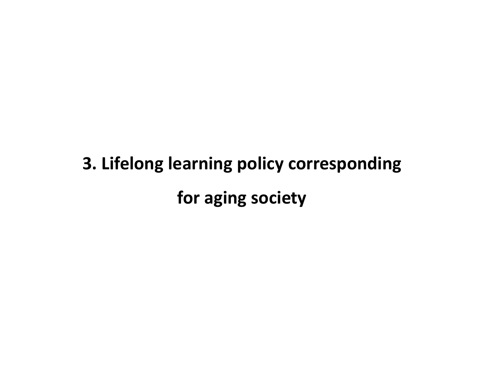## **3. Lifelong learning policy corresponding for aging society**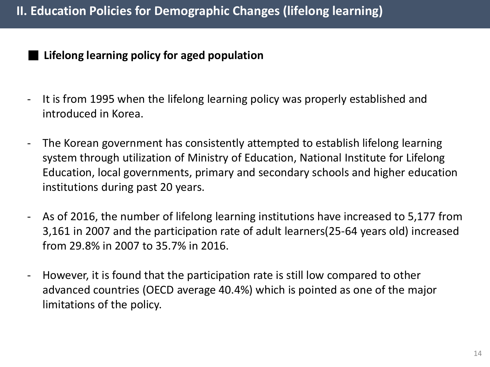#### **■ Lifelong learning policy for aged population**

- It is from 1995 when the lifelong learning policy was properly established and introduced in Korea.
- The Korean government has consistently attempted to establish lifelong learning system through utilization of Ministry of Education, National Institute for Lifelong Education, local governments, primary and secondary schools and higher education institutions during past 20 years.
- As of 2016, the number of lifelong learning institutions have increased to 5,177 from 3,161 in 2007 and the participation rate of adult learners(25-64 years old) increased from 29.8% in 2007 to 35.7% in 2016.
- However, it is found that the participation rate is still low compared to other advanced countries (OECD average 40.4%) which is pointed as one of the major limitations of the policy.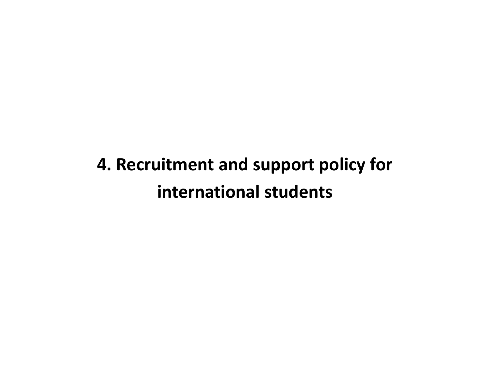## **4. Recruitment and support policy for international students**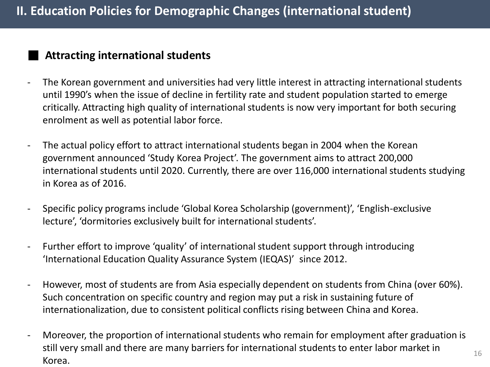#### **■ Attracting international students**

- The Korean government and universities had very little interest in attracting international students until 1990's when the issue of decline in fertility rate and student population started to emerge critically. Attracting high quality of international students is now very important for both securing enrolment as well as potential labor force.
- The actual policy effort to attract international students began in 2004 when the Korean government announced 'Study Korea Project'. The government aims to attract 200,000 international students until 2020. Currently, there are over 116,000 international students studying in Korea as of 2016.
- Specific policy programs include 'Global Korea Scholarship (government)', 'English-exclusive lecture', 'dormitories exclusively built for international students'.
- Further effort to improve 'quality' of international student support through introducing 'International Education Quality Assurance System (IEQAS)' since 2012.
- However, most of students are from Asia especially dependent on students from China (over 60%). Such concentration on specific country and region may put a risk in sustaining future of internationalization, due to consistent political conflicts rising between China and Korea.
- Moreover, the proportion of international students who remain for employment after graduation is still very small and there are many barriers for international students to enter labor market in Korea.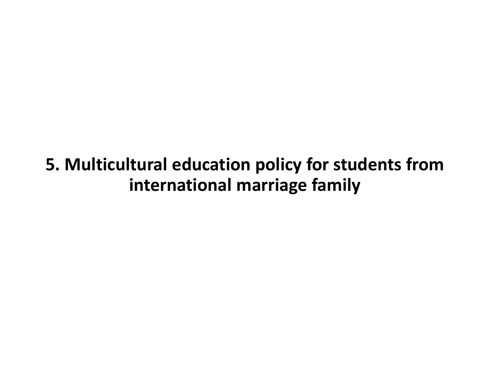### **5. Multicultural education policy for students from international marriage family**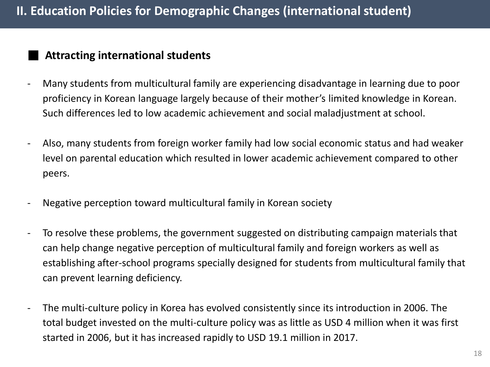#### **■ Attracting international students**

- Many students from multicultural family are experiencing disadvantage in learning due to poor proficiency in Korean language largely because of their mother's limited knowledge in Korean. Such differences led to low academic achievement and social maladjustment at school.
- Also, many students from foreign worker family had low social economic status and had weaker level on parental education which resulted in lower academic achievement compared to other peers.
- Negative perception toward multicultural family in Korean society
- To resolve these problems, the government suggested on distributing campaign materials that can help change negative perception of multicultural family and foreign workers as well as establishing after-school programs specially designed for students from multicultural family that can prevent learning deficiency.
- The multi-culture policy in Korea has evolved consistently since its introduction in 2006. The total budget invested on the multi-culture policy was as little as USD 4 million when it was first started in 2006, but it has increased rapidly to USD 19.1 million in 2017.